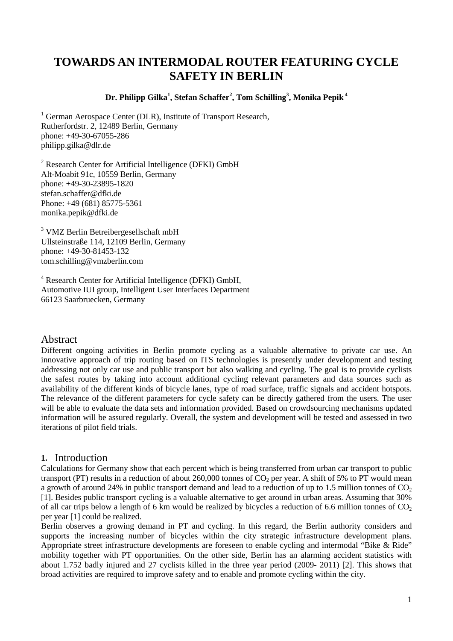# **TOWARDS AN INTERMODAL ROUTER FEATURING CYCLE SAFETY IN BERLIN**

**Dr. Philipp Gilka1 , Stefan Schaffer<sup>2</sup> , Tom Schilling3 , Monika Pepik <sup>4</sup>**

<sup>1</sup> German Aerospace Center (DLR), Institute of Transport Research, Rutherfordstr. 2, 12489 Berlin, Germany phone: +49-30-67055-286 philipp.gilka@dlr.de

<sup>2</sup> Research Center for Artificial Intelligence (DFKI) GmbH Alt-Moabit 91c, 10559 Berlin, Germany phone: +49-30-23895-1820 stefan.schaffer@dfki.de Phone: +49 (681) 85775-5361 monika.pepik@dfki.de

<sup>3</sup> VMZ Berlin Betreibergesellschaft mbH Ullsteinstraße 114, 12109 Berlin, Germany phone: +49-30-81453-132 tom.schilling@vmzberlin.com

<sup>4</sup> Research Center for Artificial Intelligence (DFKI) GmbH, Automotive IUI group, Intelligent User Interfaces Department 66123 Saarbruecken, Germany

# Abstract

Different ongoing activities in Berlin promote cycling as a valuable alternative to private car use. An innovative approach of trip routing based on ITS technologies is presently under development and testing addressing not only car use and public transport but also walking and cycling. The goal is to provide cyclists the safest routes by taking into account additional cycling relevant parameters and data sources such as availability of the different kinds of bicycle lanes, type of road surface, traffic signals and accident hotspots. The relevance of the different parameters for cycle safety can be directly gathered from the users. The user will be able to evaluate the data sets and information provided. Based on crowdsourcing mechanisms updated information will be assured regularly. Overall, the system and development will be tested and assessed in two iterations of pilot field trials.

# **1.** Introduction

Calculations for Germany show that each percent which is being transferred from urban car transport to public transport (PT) results in a reduction of about 260,000 tonnes of  $CO<sub>2</sub>$  per year. A shift of 5% to PT would mean a growth of around 24% in public transport demand and lead to a reduction of up to 1.5 million tonnes of  $CO<sub>2</sub>$ [1]. Besides public transport cycling is a valuable alternative to get around in urban areas. Assuming that 30% of all car trips below a length of 6 km would be realized by bicycles a reduction of 6.6 million tonnes of  $CO<sub>2</sub>$ per year [1] could be realized.

Berlin observes a growing demand in PT and cycling. In this regard, the Berlin authority considers and supports the increasing number of bicycles within the city strategic infrastructure development plans. Appropriate street infrastructure developments are foreseen to enable cycling and intermodal "Bike & Ride" mobility together with PT opportunities. On the other side, Berlin has an alarming accident statistics with about 1.752 badly injured and 27 cyclists killed in the three year period (2009- 2011) [2]. This shows that broad activities are required to improve safety and to enable and promote cycling within the city.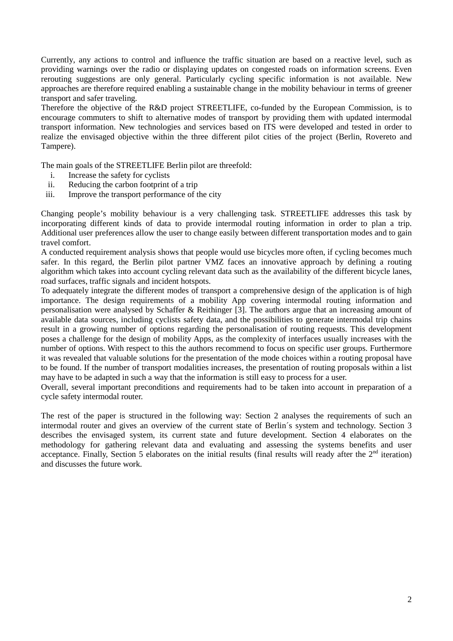Currently, any actions to control and influence the traffic situation are based on a reactive level, such as providing warnings over the radio or displaying updates on congested roads on information screens. Even rerouting suggestions are only general. Particularly cycling specific information is not available. New approaches are therefore required enabling a sustainable change in the mobility behaviour in terms of greener transport and safer traveling.

Therefore the objective of the R&D project STREETLIFE, co-funded by the European Commission, is to encourage commuters to shift to alternative modes of transport by providing them with updated intermodal transport information. New technologies and services based on ITS were developed and tested in order to realize the envisaged objective within the three different pilot cities of the project (Berlin, Rovereto and Tampere).

The main goals of the STREETLIFE Berlin pilot are threefold:

- i. Increase the safety for cyclists
- ii. Reducing the carbon footprint of a trip
- iii. Improve the transport performance of the city

Changing people's mobility behaviour is a very challenging task. STREETLIFE addresses this task by incorporating different kinds of data to provide intermodal routing information in order to plan a trip. Additional user preferences allow the user to change easily between different transportation modes and to gain travel comfort.

A conducted requirement analysis shows that people would use bicycles more often, if cycling becomes much safer. In this regard, the Berlin pilot partner VMZ faces an innovative approach by defining a routing algorithm which takes into account cycling relevant data such as the availability of the different bicycle lanes, road surfaces, traffic signals and incident hotspots.

To adequately integrate the different modes of transport a comprehensive design of the application is of high importance. The design requirements of a mobility App covering intermodal routing information and personalisation were analysed by Schaffer & Reithinger [3]. The authors argue that an increasing amount of available data sources, including cyclists safety data, and the possibilities to generate intermodal trip chains result in a growing number of options regarding the personalisation of routing requests. This development poses a challenge for the design of mobility Apps, as the complexity of interfaces usually increases with the number of options. With respect to this the authors recommend to focus on specific user groups. Furthermore it was revealed that valuable solutions for the presentation of the mode choices within a routing proposal have to be found. If the number of transport modalities increases, the presentation of routing proposals within a list may have to be adapted in such a way that the information is still easy to process for a user.

Overall, several important preconditions and requirements had to be taken into account in preparation of a cycle safety intermodal router.

The rest of the paper is structured in the following way: Section 2 analyses the requirements of such an intermodal router and gives an overview of the current state of Berlin´s system and technology. Section 3 describes the envisaged system, its current state and future development. Section 4 elaborates on the methodology for gathering relevant data and evaluating and assessing the systems benefits and user acceptance. Finally, Section 5 elaborates on the initial results (final results will ready after the  $2<sup>nd</sup>$  iteration) and discusses the future work.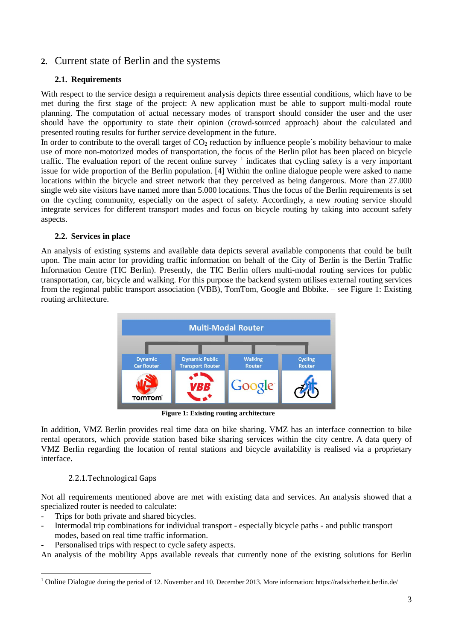# **2.** Current state of Berlin and the systems

### **2.1. Requirements**

With respect to the service design a requirement analysis depicts three essential conditions, which have to be met during the first stage of the project: A new application must be able to support multi-modal route planning. The computation of actual necessary modes of transport should consider the user and the user should have the opportunity to state their opinion (crowd-sourced approach) about the calculated and presented routing results for further service development in the future.

In order to contribute to the overall target of  $CO<sub>2</sub>$  reduction by influence people's mobility behaviour to make use of more non-motorized modes of transportation, the focus of the Berlin pilot has been placed on bicycle traffic. The evaluation report of the recent online survey  $1$  indicates that cycling safety is a very important issue for wide proportion of the Berlin population. [4] Within the online dialogue people were asked to name locations within the bicycle and street network that they perceived as being dangerous. More than 27.000 single web site visitors have named more than 5.000 locations. Thus the focus of the Berlin requirements is set on the cycling community, especially on the aspect of safety. Accordingly, a new routing service should integrate services for different transport modes and focus on bicycle routing by taking into account safety aspects.

### **2.2. Services in place**

An analysis of existing systems and available data depicts several available components that could be built upon. The main actor for providing traffic information on behalf of the City of Berlin is the Berlin Traffic Information Centre (TIC Berlin). Presently, the TIC Berlin offers multi-modal routing services for public transportation, car, bicycle and walking. For this purpose the backend system utilises external routing services from the regional public transport association (VBB), TomTom, Google and Bbbike. – see [Figure 1: Existing](#page-2-0)  [routing architecture.](#page-2-0)



**Figure 1: Existing routing architecture**

<span id="page-2-0"></span>In addition, VMZ Berlin provides real time data on bike sharing. VMZ has an interface connection to bike rental operators, which provide station based bike sharing services within the city centre. A data query of VMZ Berlin regarding the location of rental stations and bicycle availability is realised via a proprietary interface.

### 2.2.1.Technological Gaps

Not all requirements mentioned above are met with existing data and services. An analysis showed that a specialized router is needed to calculate:

- Trips for both private and shared bicycles.
- Intermodal trip combinations for individual transport especially bicycle paths and public transport modes, based on real time traffic information.
- Personalised trips with respect to cycle safety aspects.

An analysis of the mobility Apps available reveals that currently none of the existing solutions for Berlin

<span id="page-2-1"></span><sup>&</sup>lt;sup>1</sup> Online Dialogue during the period of 12. November and 10. December 2013. More information: https://radsicherheit.berlin.de/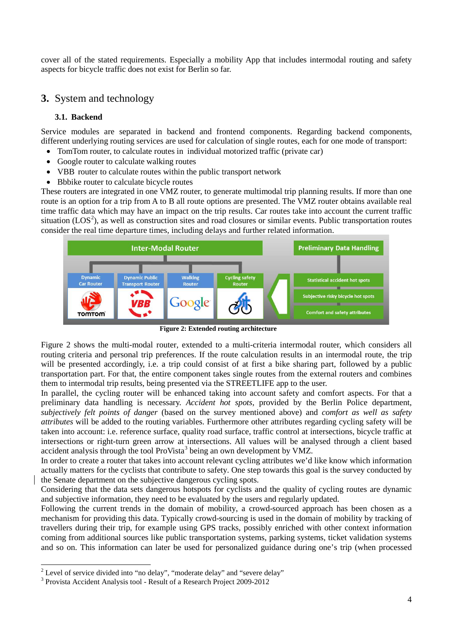cover all of the stated requirements. Especially a mobility App that includes intermodal routing and safety aspects for bicycle traffic does not exist for Berlin so far.

# **3.** System and technology

### **3.1. Backend**

Service modules are separated in backend and frontend components. Regarding backend components, different underlying routing services are used for calculation of single routes, each for one mode of transport:

- TomTom router, to calculate routes in individual motorized traffic (private car)
- Google router to calculate walking routes
- VBB router to calculate routes within the public transport network
- Bbbike router to calculate bicycle routes

These routers are integrated in one VMZ router, to generate multimodal trip planning results. If more than one route is an option for a trip from A to B all route options are presented. The VMZ router obtains available real time traffic data which may have an impact on the trip results. Car routes take into account the current traffic situation  $(LOS<sup>2</sup>)$  $(LOS<sup>2</sup>)$  $(LOS<sup>2</sup>)$ , as well as construction sites and road closures or similar events. Public transportation routes consider the real time departure times, including delays and further related information.



**Figure 2: Extended routing architecture**

<span id="page-3-0"></span>[Figure 2](#page-3-0) shows the multi-modal router, extended to a multi-criteria intermodal router, which considers all routing criteria and personal trip preferences. If the route calculation results in an intermodal route, the trip will be presented accordingly, i.e. a trip could consist of at first a bike sharing part, followed by a public transportation part. For that, the entire component takes single routes from the external routers and combines them to intermodal trip results, being presented via the STREETLIFE app to the user.

In parallel, the cycling router will be enhanced taking into account safety and comfort aspects. For that a preliminary data handling is necessary. *Accident hot spots*, provided by the Berlin Police department, *subjectively felt points of danger* (based on the survey mentioned above) and *comfort as well as safety attributes* will be added to the routing variables. Furthermore other attributes regarding cycling safety will be taken into account: i.e. reference surface, quality road surface, traffic control at intersections, bicycle traffic at intersections or right-turn green arrow at intersections. All values will be analysed through a client based accident analysis through the tool ProVista<sup>[3](#page-3-2)</sup> being an own development by VMZ.

In order to create a router that takes into account relevant cycling attributes we'd like know which information actually matters for the cyclists that contribute to safety. One step towards this goal is the survey conducted by the Senate department on the subjective dangerous cycling spots.

Considering that the data sets dangerous hotspots for cyclists and the quality of cycling routes are dynamic and subjective information, they need to be evaluated by the users and regularly updated.

Following the current trends in the domain of mobility, a crowd-sourced approach has been chosen as a mechanism for providing this data. Typically crowd-sourcing is used in the domain of mobility by tracking of travellers during their trip, for example using GPS tracks, possibly enriched with other context information coming from additional sources like public transportation systems, parking systems, ticket validation systems and so on. This information can later be used for personalized guidance during one's trip (when processed

<span id="page-3-1"></span><sup>&</sup>lt;sup>2</sup> Level of service divided into "no delay", "moderate delay" and "severe delay"  $\frac{3}{10}$  Provista Accident Analysis tool - Result of a Research Project 2009-2012

<span id="page-3-2"></span>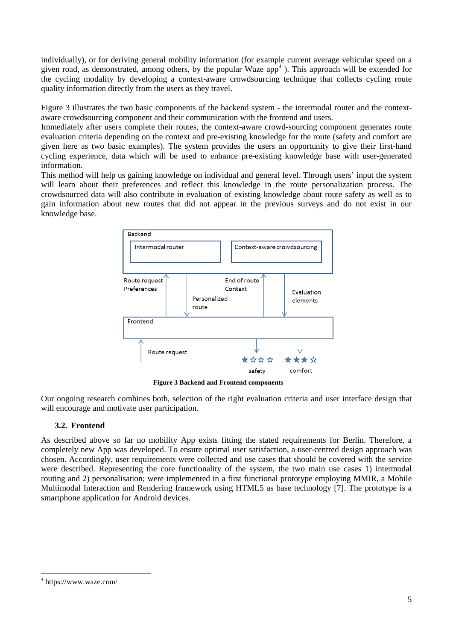individually), or for deriving general mobility information (for example current average vehicular speed on a given road, as demonstrated, among others, by the popular Waze  $app<sup>4</sup>$  $app<sup>4</sup>$  $app<sup>4</sup>$ ). This approach will be extended for the cycling modality by developing a context-aware crowdsourcing technique that collects cycling route quality information directly from the users as they travel.

[Figure 3](#page-4-0) illustrates the two basic components of the backend system - the intermodal router and the contextaware crowdsourcing component and their communication with the frontend and users.

Immediately after users complete their routes, the context-aware crowd-sourcing component generates route evaluation criteria depending on the context and pre-existing knowledge for the route (safety and comfort are given here as two basic examples). The system provides the users an opportunity to give their first-hand cycling experience, data which will be used to enhance pre-existing knowledge base with user-generated information.

This method will help us gaining knowledge on individual and general level. Through users' input the system will learn about their preferences and reflect this knowledge in the route personalization process. The crowdsourced data will also contribute in evaluation of existing knowledge about route safety as well as to gain information about new routes that did not appear in the previous surveys and do not exist in our knowledge base.



**Figure 3 Backend and Frontend components**

<span id="page-4-0"></span>Our ongoing research combines both, selection of the right evaluation criteria and user interface design that will encourage and motivate user participation.

### **3.2. Frontend**

As described above so far no mobility App exists fitting the stated requirements for Berlin. Therefore, a completely new App was developed. To ensure optimal user satisfaction, a user-centred design approach was chosen. Accordingly, user requirements were collected and use cases that should be covered with the service were described. Representing the core functionality of the system, the two main use cases 1) intermodal routing and 2) personalisation; were implemented in a first functional prototype employing MMIR, a Mobile Multimodal Interaction and Rendering framework using HTML5 as base technology [7]. The prototype is a smartphone application for Android devices.

<span id="page-4-1"></span> <sup>4</sup> https://www.waze.com/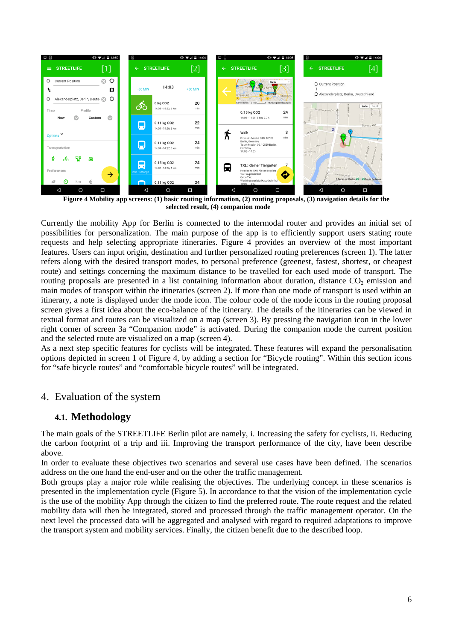

 **Figure 4 Mobility app screens: (1) basic routing information, (2) routing proposals, (3) navigation details for the** selected result, (4) companion mode

<span id="page-5-0"></span>Currently the mobility App for Berlin is connected to the intermodal router and provides an initial set of possibilities for personalization. The main purpose of the app is to efficiently support users stating route requests and help selecting appropriate itineraries. [Figure 4](#page-5-0) provides an overview of the most important features. Users can input origin, destination and further personalized routing preferences (screen 1). The latter refers along with the desired transport modes, to personal preference (greenest, fastest, shortest, or cheapest route) and settings concerning the maximum distance to be travelled for each used mode of transport. The routing proposals are presented in a list containing information about duration, distance  $CO<sub>2</sub>$  emission and main modes of transport within the itineraries (screen 2). If more than one mode of transport is used within an itinerary, a note is displayed under the mode icon. The colour code of the mode icons in the routing proposal screen gives a first idea about the eco-balance of the itinerary. The details of the itineraries can be viewed in textual format and routes can be visualized on a map (screen 3). By pressing the navigation icon in the lower right corner of screen 3a "Companion mode" is activated. During the companion mode the current position and the selected route are visualized on a map (screen 4).

As a next step specific features for cyclists will be integrated. These features will expand the personalisation options depicted in screen 1 of [Figure 4,](#page-5-0) by adding a section for "Bicycle routing". Within this section icons for "safe bicycle routes" and "comfortable bicycle routes" will be integrated.

# 4. Evaluation of the system

# **4.1. Methodology**

The main goals of the STREETLIFE Berlin pilot are namely, i. Increasing the safety for cyclists, ii. Reducing the carbon footprint of a trip and iii. Improving the transport performance of the city, have been describe above.

In order to evaluate these objectives two scenarios and several use cases have been defined. The scenarios address on the one hand the end-user and on the other the traffic management.

Both groups play a major role while realising the objectives. The underlying concept in these scenarios is presented in the implementation cycle [\(Figure 5\)](#page-6-0). In accordance to that the vision of the implementation cycle is the use of the mobility App through the citizen to find the preferred route. The route request and the related mobility data will then be integrated, stored and processed through the traffic management operator. On the next level the processed data will be aggregated and analysed with regard to required adaptations to improve the transport system and mobility services. Finally, the citizen benefit due to the described loop.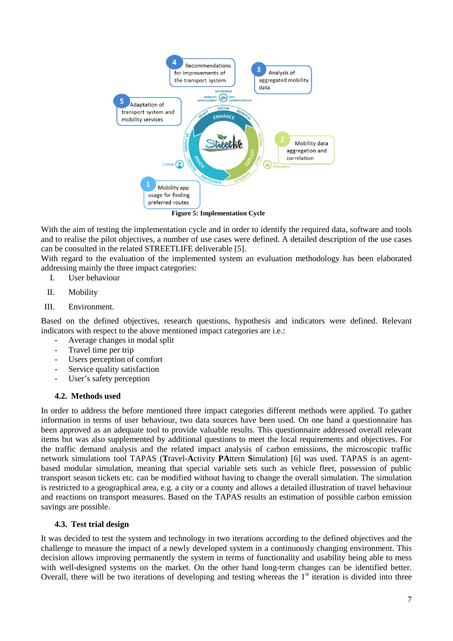

**Figure 5: Implementation Cycle**

<span id="page-6-0"></span>With the aim of testing the implementation cycle and in order to identify the required data, software and tools and to realise the pilot objectives, a number of use cases were defined. A detailed description of the use cases can be consulted in the related STREETLIFE deliverable [5].

With regard to the evaluation of the implemented system an evaluation methodology has been elaborated addressing mainly the three impact categories:

- I. User behaviour
- II. Mobility
- III. Environment.

Based on the defined objectives, research questions, hypothesis and indicators were defined. Relevant indicators with respect to the above mentioned impact categories are i.e.:

- Average changes in modal split
- Travel time per trip
- Users perception of comfort
- Service quality satisfaction
- User's safety perception

#### **4.2. Methods used**

In order to address the before mentioned three impact categories different methods were applied. To gather information in terms of user behaviour, two data sources have been used. On one hand a questionnaire has been approved as an adequate tool to provide valuable results. This questionnaire addressed overall relevant items but was also supplemented by additional questions to meet the local requirements and objectives. For the traffic demand analysis and the related impact analysis of carbon emissions, the microscopic traffic network simulations tool TAPAS (**T**ravel-**A**ctivity **PA**ttern **S**imulation) [6] was used. TAPAS is an agentbased modular simulation, meaning that special variable sets such as vehicle fleet, possession of public transport season tickets etc. can be modified without having to change the overall simulation. The simulation is restricted to a geographical area, e.g. a city or a county and allows a detailed illustration of travel behaviour and reactions on transport measures. Based on the TAPAS results an estimation of possible carbon emission savings are possible.

#### **4.3. Test trial design**

It was decided to test the system and technology in two iterations according to the defined objectives and the challenge to measure the impact of a newly developed system in a continuously changing environment. This decision allows improving permanently the system in terms of functionality and usability being able to mess with well-designed systems on the market. On the other hand long-term changes can be identified better. Overall, there will be two iterations of developing and testing whereas the  $1<sup>st</sup>$  iteration is divided into three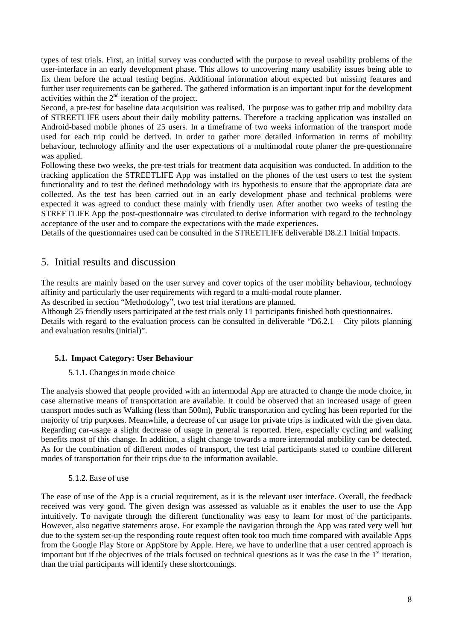types of test trials. First, an initial survey was conducted with the purpose to reveal usability problems of the user-interface in an early development phase. This allows to uncovering many usability issues being able to fix them before the actual testing begins. Additional information about expected but missing features and further user requirements can be gathered. The gathered information is an important input for the development activities within the  $2<sup>nd</sup>$  iteration of the project.

Second, a pre-test for baseline data acquisition was realised. The purpose was to gather trip and mobility data of STREETLIFE users about their daily mobility patterns. Therefore a tracking application was installed on Android-based mobile phones of 25 users. In a timeframe of two weeks information of the transport mode used for each trip could be derived. In order to gather more detailed information in terms of mobility behaviour, technology affinity and the user expectations of a multimodal route planer the pre-questionnaire was applied.

Following these two weeks, the pre-test trials for treatment data acquisition was conducted. In addition to the tracking application the STREETLIFE App was installed on the phones of the test users to test the system functionality and to test the defined methodology with its hypothesis to ensure that the appropriate data are collected. As the test has been carried out in an early development phase and technical problems were expected it was agreed to conduct these mainly with friendly user. After another two weeks of testing the STREETLIFE App the post-questionnaire was circulated to derive information with regard to the technology acceptance of the user and to compare the expectations with the made experiences.

Details of the questionnaires used can be consulted in the STREETLIFE deliverable D8.2.1 Initial Impacts.

# 5. Initial results and discussion

The results are mainly based on the user survey and cover topics of the user mobility behaviour, technology affinity and particularly the user requirements with regard to a multi-modal route planner.

As described in section "Methodology", two test trial iterations are planned.

Although 25 friendly users participated at the test trials only 11 participants finished both questionnaires. Details with regard to the evaluation process can be consulted in deliverable "D6.2.1 – City pilots planning and evaluation results (initial)".

#### **5.1. Impact Category: User Behaviour**

#### 5.1.1. Changes in mode choice

The analysis showed that people provided with an intermodal App are attracted to change the mode choice, in case alternative means of transportation are available. It could be observed that an increased usage of green transport modes such as Walking (less than 500m), Public transportation and cycling has been reported for the majority of trip purposes. Meanwhile, a decrease of car usage for private trips is indicated with the given data. Regarding car-usage a slight decrease of usage in general is reported. Here, especially cycling and walking benefits most of this change. In addition, a slight change towards a more intermodal mobility can be detected. As for the combination of different modes of transport, the test trial participants stated to combine different modes of transportation for their trips due to the information available.

#### 5.1.2. Ease of use

The ease of use of the App is a crucial requirement, as it is the relevant user interface. Overall, the feedback received was very good. The given design was assessed as valuable as it enables the user to use the App intuitively. To navigate through the different functionality was easy to learn for most of the participants. However, also negative statements arose. For example the navigation through the App was rated very well but due to the system set-up the responding route request often took too much time compared with available Apps from the Google Play Store or AppStore by Apple. Here, we have to underline that a user centred approach is important but if the objectives of the trials focused on technical questions as it was the case in the  $1<sup>st</sup>$  iteration, than the trial participants will identify these shortcomings.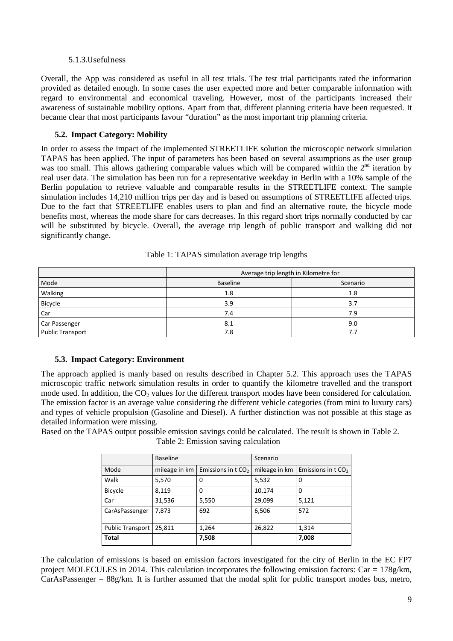#### 5.1.3.Usefulness

Overall, the App was considered as useful in all test trials. The test trial participants rated the information provided as detailed enough. In some cases the user expected more and better comparable information with regard to environmental and economical traveling. However, most of the participants increased their awareness of sustainable mobility options. Apart from that, different planning criteria have been requested. It became clear that most participants favour "duration" as the most important trip planning criteria.

### **5.2. Impact Category: Mobility**

In order to assess the impact of the implemented STREETLIFE solution the microscopic network simulation TAPAS has been applied. The input of parameters has been based on several assumptions as the user group was too small. This allows gathering comparable values which will be compared within the  $2<sup>nd</sup>$  iteration by real user data. The simulation has been run for a representative weekday in Berlin with a 10% sample of the Berlin population to retrieve valuable and comparable results in the STREETLIFE context. The sample simulation includes 14,210 million trips per day and is based on assumptions of STREETLIFE affected trips. Due to the fact that STREETLIFE enables users to plan and find an alternative route, the bicycle mode benefits most, whereas the mode share for cars decreases. In this regard short trips normally conducted by car will be substituted by bicycle. Overall, the average trip length of public transport and walking did not significantly change.

|                         | Average trip length in Kilometre for |          |  |
|-------------------------|--------------------------------------|----------|--|
| Mode                    | <b>Baseline</b>                      | Scenario |  |
| Walking                 | 1.8                                  | 1.8      |  |
| Bicycle                 | 3.9                                  | 3.7      |  |
| Car                     | 7.4                                  | 7.9      |  |
| Car Passenger           | 8.1                                  | 9.0      |  |
| <b>Public Transport</b> | 7.8                                  | 7.:      |  |

Table 1: TAPAS simulation average trip lengths

### **5.3. Impact Category: Environment**

The approach applied is manly based on results described in Chapter 5.2. This approach uses the TAPAS microscopic traffic network simulation results in order to quantify the kilometre travelled and the transport mode used. In addition, the  $CO<sub>2</sub>$  values for the different transport modes have been considered for calculation. The emission factor is an average value considering the different vehicle categories (from mini to luxury cars) and types of vehicle propulsion (Gasoline and Diesel). A further distinction was not possible at this stage as detailed information were missing.

<span id="page-8-0"></span>Based on the TAPAS output possible emission savings could be calculated. The result is shown in [Table 2.](#page-8-0) Table 2: Emission saving calculation

|                         | <b>Baseline</b> |                     | Scenario      |                     |
|-------------------------|-----------------|---------------------|---------------|---------------------|
| Mode                    | mileage in km   | Emissions in $tCO2$ | mileage in km | Emissions in $tCO2$ |
| Walk                    | 5,570           | 0                   | 5,532         | 0                   |
| <b>Bicycle</b>          | 8,119           | 0                   | 10,174        | 0                   |
| Car                     | 31,536          | 5,550               | 29,099        | 5,121               |
| CarAsPassenger          | 7,873           | 692                 | 6,506         | 572                 |
| <b>Public Transport</b> | 25,811          | 1,264               | 26,822        | 1,314               |
| Total                   |                 | 7,508               |               | 7,008               |

The calculation of emissions is based on emission factors investigated for the city of Berlin in the EC FP7 project MOLECULES in 2014. This calculation incorporates the following emission factors: Car = 178g/km,  $CarAsPassenger = 88g/km$ . It is further assumed that the modal split for public transport modes bus, metro,